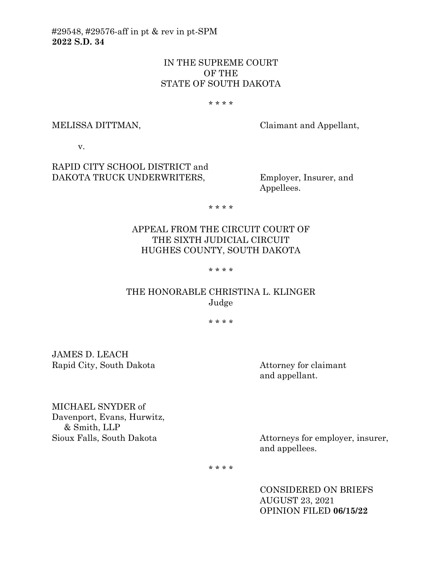#29548, #29576-aff in pt & rev in pt-SPM **2022 S.D. 34**

# IN THE SUPREME COURT OF THE STATE OF SOUTH DAKOTA

#### \* \* \* \*

MELISSA DITTMAN, Claimant and Appellant,

v.

RAPID CITY SCHOOL DISTRICT and DAKOTA TRUCK UNDERWRITERS, Employer, Insurer, and

Appellees.

\* \* \* \*

# APPEAL FROM THE CIRCUIT COURT OF THE SIXTH JUDICIAL CIRCUIT HUGHES COUNTY, SOUTH DAKOTA

#### \* \* \* \*

## THE HONORABLE CHRISTINA L. KLINGER Judge

\* \* \* \*

JAMES D. LEACH Rapid City, South Dakota Attorney for claimant

and appellant.

MICHAEL SNYDER of Davenport, Evans, Hurwitz, & Smith, LLP Sioux Falls, South Dakota Attorneys for employer, insurer,

and appellees.

\* \* \* \*

CONSIDERED ON BRIEFS AUGUST 23, 2021 OPINION FILED **06/15/22**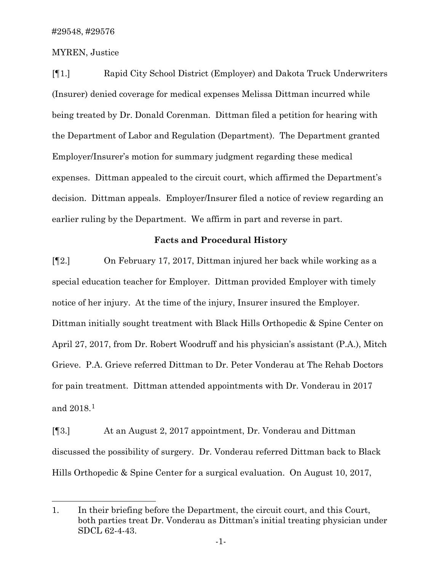MYREN, Justice

[¶1.] Rapid City School District (Employer) and Dakota Truck Underwriters (Insurer) denied coverage for medical expenses Melissa Dittman incurred while being treated by Dr. Donald Corenman. Dittman filed a petition for hearing with the Department of Labor and Regulation (Department). The Department granted Employer/Insurer's motion for summary judgment regarding these medical expenses. Dittman appealed to the circuit court, which affirmed the Department's decision. Dittman appeals. Employer/Insurer filed a notice of review regarding an earlier ruling by the Department. We affirm in part and reverse in part.

#### **Facts and Procedural History**

[¶2.] On February 17, 2017, Dittman injured her back while working as a special education teacher for Employer. Dittman provided Employer with timely notice of her injury. At the time of the injury, Insurer insured the Employer. Dittman initially sought treatment with Black Hills Orthopedic & Spine Center on April 27, 2017, from Dr. Robert Woodruff and his physician's assistant (P.A.), Mitch Grieve. P.A. Grieve referred Dittman to Dr. Peter Vonderau at The Rehab Doctors for pain treatment. Dittman attended appointments with Dr. Vonderau in 2017 and 2018.[1](#page-1-0)

[¶3.] At an August 2, 2017 appointment, Dr. Vonderau and Dittman discussed the possibility of surgery. Dr. Vonderau referred Dittman back to Black Hills Orthopedic & Spine Center for a surgical evaluation. On August 10, 2017,

<span id="page-1-0"></span><sup>1.</sup> In their briefing before the Department, the circuit court, and this Court, both parties treat Dr. Vonderau as Dittman's initial treating physician under SDCL 62-4-43.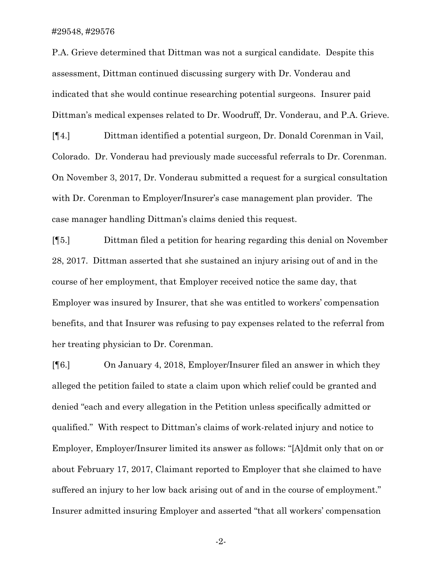P.A. Grieve determined that Dittman was not a surgical candidate. Despite this assessment, Dittman continued discussing surgery with Dr. Vonderau and indicated that she would continue researching potential surgeons. Insurer paid Dittman's medical expenses related to Dr. Woodruff, Dr. Vonderau, and P.A. Grieve.

[¶4.] Dittman identified a potential surgeon, Dr. Donald Corenman in Vail, Colorado. Dr. Vonderau had previously made successful referrals to Dr. Corenman. On November 3, 2017, Dr. Vonderau submitted a request for a surgical consultation with Dr. Corenman to Employer/Insurer's case management plan provider. The case manager handling Dittman's claims denied this request.

[¶5.] Dittman filed a petition for hearing regarding this denial on November 28, 2017. Dittman asserted that she sustained an injury arising out of and in the course of her employment, that Employer received notice the same day, that Employer was insured by Insurer, that she was entitled to workers' compensation benefits, and that Insurer was refusing to pay expenses related to the referral from her treating physician to Dr. Corenman.

[¶6.] On January 4, 2018, Employer/Insurer filed an answer in which they alleged the petition failed to state a claim upon which relief could be granted and denied "each and every allegation in the Petition unless specifically admitted or qualified." With respect to Dittman's claims of work-related injury and notice to Employer, Employer/Insurer limited its answer as follows: "[A]dmit only that on or about February 17, 2017, Claimant reported to Employer that she claimed to have suffered an injury to her low back arising out of and in the course of employment." Insurer admitted insuring Employer and asserted "that all workers' compensation

-2-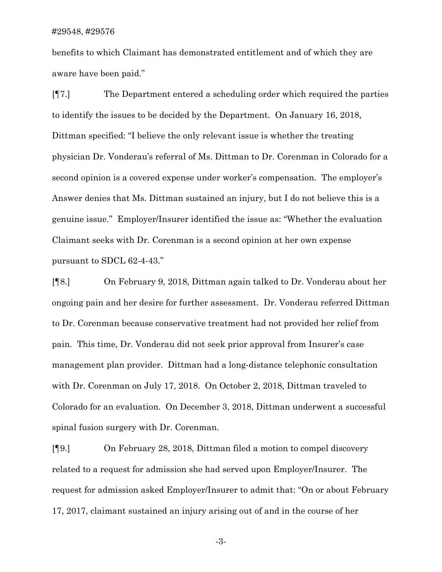benefits to which Claimant has demonstrated entitlement and of which they are aware have been paid."

[¶7.] The Department entered a scheduling order which required the parties to identify the issues to be decided by the Department. On January 16, 2018, Dittman specified: "I believe the only relevant issue is whether the treating physician Dr. Vonderau's referral of Ms. Dittman to Dr. Corenman in Colorado for a second opinion is a covered expense under worker's compensation. The employer's Answer denies that Ms. Dittman sustained an injury, but I do not believe this is a genuine issue." Employer/Insurer identified the issue as: "Whether the evaluation Claimant seeks with Dr. Corenman is a second opinion at her own expense pursuant to SDCL 62-4-43."

[¶8.] On February 9, 2018, Dittman again talked to Dr. Vonderau about her ongoing pain and her desire for further assessment. Dr. Vonderau referred Dittman to Dr. Corenman because conservative treatment had not provided her relief from pain. This time, Dr. Vonderau did not seek prior approval from Insurer's case management plan provider. Dittman had a long-distance telephonic consultation with Dr. Corenman on July 17, 2018. On October 2, 2018, Dittman traveled to Colorado for an evaluation. On December 3, 2018, Dittman underwent a successful spinal fusion surgery with Dr. Corenman.

[¶9.] On February 28, 2018, Dittman filed a motion to compel discovery related to a request for admission she had served upon Employer/Insurer. The request for admission asked Employer/Insurer to admit that: "On or about February 17, 2017, claimant sustained an injury arising out of and in the course of her

-3-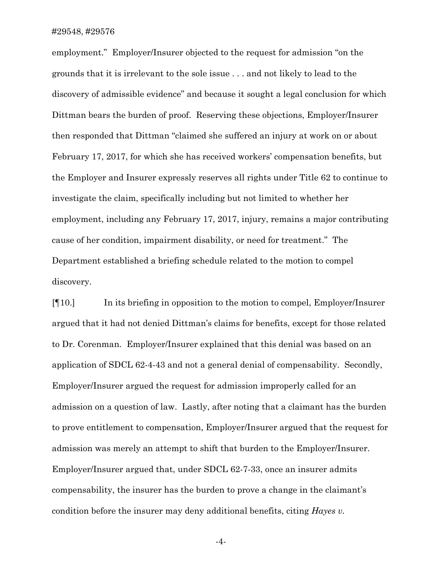employment." Employer/Insurer objected to the request for admission "on the grounds that it is irrelevant to the sole issue . . . and not likely to lead to the discovery of admissible evidence" and because it sought a legal conclusion for which Dittman bears the burden of proof. Reserving these objections, Employer/Insurer then responded that Dittman "claimed she suffered an injury at work on or about February 17, 2017, for which she has received workers' compensation benefits, but the Employer and Insurer expressly reserves all rights under Title 62 to continue to investigate the claim, specifically including but not limited to whether her employment, including any February 17, 2017, injury, remains a major contributing cause of her condition, impairment disability, or need for treatment." The Department established a briefing schedule related to the motion to compel discovery.

[¶10.] In its briefing in opposition to the motion to compel, Employer/Insurer argued that it had not denied Dittman's claims for benefits, except for those related to Dr. Corenman. Employer/Insurer explained that this denial was based on an application of SDCL 62-4-43 and not a general denial of compensability. Secondly, Employer/Insurer argued the request for admission improperly called for an admission on a question of law. Lastly, after noting that a claimant has the burden to prove entitlement to compensation, Employer/Insurer argued that the request for admission was merely an attempt to shift that burden to the Employer/Insurer. Employer/Insurer argued that, under SDCL 62-7-33, once an insurer admits compensability, the insurer has the burden to prove a change in the claimant's condition before the insurer may deny additional benefits, citing *Hayes v.* 

-4-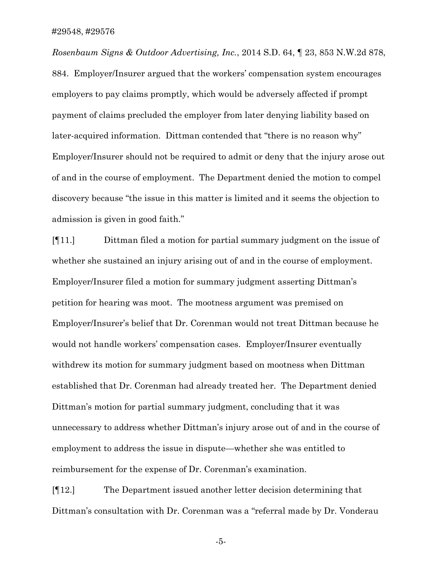*Rosenbaum Signs & Outdoor Advertising, Inc.*, 2014 S.D. 64, ¶ 23, 853 N.W.2d 878, 884. Employer/Insurer argued that the workers' compensation system encourages employers to pay claims promptly, which would be adversely affected if prompt payment of claims precluded the employer from later denying liability based on later-acquired information. Dittman contended that "there is no reason why" Employer/Insurer should not be required to admit or deny that the injury arose out of and in the course of employment. The Department denied the motion to compel discovery because "the issue in this matter is limited and it seems the objection to admission is given in good faith."

[¶11.] Dittman filed a motion for partial summary judgment on the issue of whether she sustained an injury arising out of and in the course of employment. Employer/Insurer filed a motion for summary judgment asserting Dittman's petition for hearing was moot. The mootness argument was premised on Employer/Insurer's belief that Dr. Corenman would not treat Dittman because he would not handle workers' compensation cases. Employer/Insurer eventually withdrew its motion for summary judgment based on mootness when Dittman established that Dr. Corenman had already treated her. The Department denied Dittman's motion for partial summary judgment, concluding that it was unnecessary to address whether Dittman's injury arose out of and in the course of employment to address the issue in dispute—whether she was entitled to reimbursement for the expense of Dr. Corenman's examination.

[¶12.] The Department issued another letter decision determining that Dittman's consultation with Dr. Corenman was a "referral made by Dr. Vonderau

-5-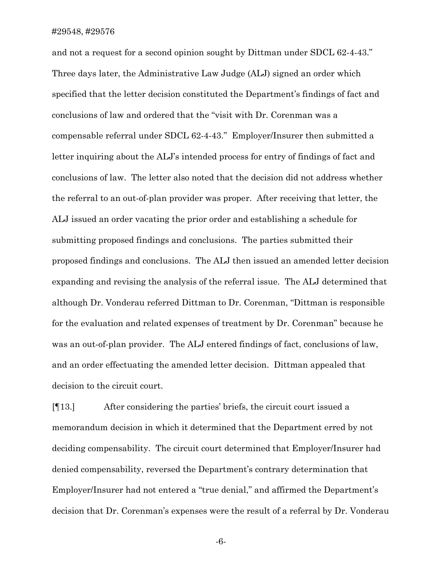and not a request for a second opinion sought by Dittman under SDCL 62-4-43." Three days later, the Administrative Law Judge (ALJ) signed an order which specified that the letter decision constituted the Department's findings of fact and conclusions of law and ordered that the "visit with Dr. Corenman was a compensable referral under SDCL 62-4-43." Employer/Insurer then submitted a letter inquiring about the ALJ's intended process for entry of findings of fact and conclusions of law. The letter also noted that the decision did not address whether the referral to an out-of-plan provider was proper. After receiving that letter, the ALJ issued an order vacating the prior order and establishing a schedule for submitting proposed findings and conclusions. The parties submitted their proposed findings and conclusions. The ALJ then issued an amended letter decision expanding and revising the analysis of the referral issue. The ALJ determined that although Dr. Vonderau referred Dittman to Dr. Corenman, "Dittman is responsible for the evaluation and related expenses of treatment by Dr. Corenman" because he was an out-of-plan provider. The ALJ entered findings of fact, conclusions of law, and an order effectuating the amended letter decision. Dittman appealed that decision to the circuit court.

[¶13.] After considering the parties' briefs, the circuit court issued a memorandum decision in which it determined that the Department erred by not deciding compensability. The circuit court determined that Employer/Insurer had denied compensability, reversed the Department's contrary determination that Employer/Insurer had not entered a "true denial," and affirmed the Department's decision that Dr. Corenman's expenses were the result of a referral by Dr. Vonderau

-6-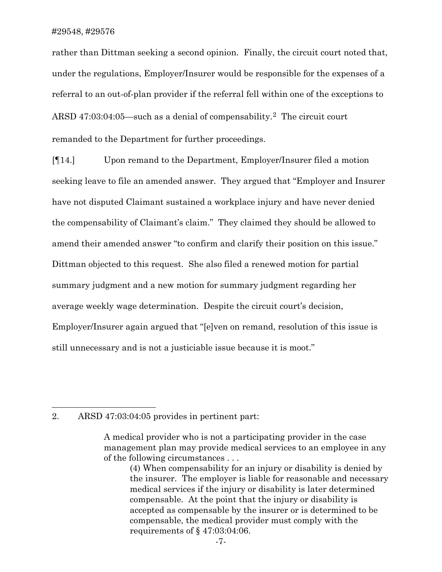rather than Dittman seeking a second opinion. Finally, the circuit court noted that, under the regulations, Employer/Insurer would be responsible for the expenses of a referral to an out-of-plan provider if the referral fell within one of the exceptions to ARSD 47:03:04:05—such as a denial of compensability.<sup>[2](#page-7-0)</sup> The circuit court remanded to the Department for further proceedings.

[¶14.] Upon remand to the Department, Employer/Insurer filed a motion seeking leave to file an amended answer. They argued that "Employer and Insurer have not disputed Claimant sustained a workplace injury and have never denied the compensability of Claimant's claim." They claimed they should be allowed to amend their amended answer "to confirm and clarify their position on this issue." Dittman objected to this request. She also filed a renewed motion for partial summary judgment and a new motion for summary judgment regarding her average weekly wage determination. Despite the circuit court's decision, Employer/Insurer again argued that "[e]ven on remand, resolution of this issue is still unnecessary and is not a justiciable issue because it is moot."

#### <span id="page-7-0"></span>2. ARSD 47:03:04:05 provides in pertinent part:

A medical provider who is not a participating provider in the case management plan may provide medical services to an employee in any of the following circumstances . . .

<sup>(4)</sup> When compensability for an injury or disability is denied by the insurer. The employer is liable for reasonable and necessary medical services if the injury or disability is later determined compensable. At the point that the injury or disability is accepted as compensable by the insurer or is determined to be compensable, the medical provider must comply with the requirements of § 47:03:04:06.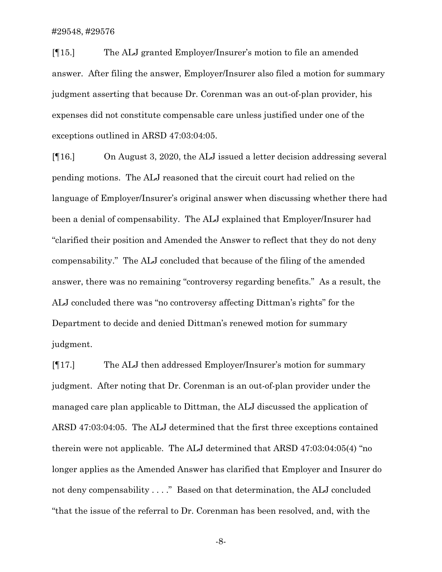[¶15.] The ALJ granted Employer/Insurer's motion to file an amended answer. After filing the answer, Employer/Insurer also filed a motion for summary judgment asserting that because Dr. Corenman was an out-of-plan provider, his expenses did not constitute compensable care unless justified under one of the exceptions outlined in ARSD 47:03:04:05.

[¶16.] On August 3, 2020, the ALJ issued a letter decision addressing several pending motions. The ALJ reasoned that the circuit court had relied on the language of Employer/Insurer's original answer when discussing whether there had been a denial of compensability. The ALJ explained that Employer/Insurer had "clarified their position and Amended the Answer to reflect that they do not deny compensability." The ALJ concluded that because of the filing of the amended answer, there was no remaining "controversy regarding benefits." As a result, the ALJ concluded there was "no controversy affecting Dittman's rights" for the Department to decide and denied Dittman's renewed motion for summary judgment.

[¶17.] The ALJ then addressed Employer/Insurer's motion for summary judgment. After noting that Dr. Corenman is an out-of-plan provider under the managed care plan applicable to Dittman, the ALJ discussed the application of ARSD 47:03:04:05. The ALJ determined that the first three exceptions contained therein were not applicable. The ALJ determined that ARSD 47:03:04:05(4) "no longer applies as the Amended Answer has clarified that Employer and Insurer do not deny compensability . . . ." Based on that determination, the ALJ concluded "that the issue of the referral to Dr. Corenman has been resolved, and, with the

-8-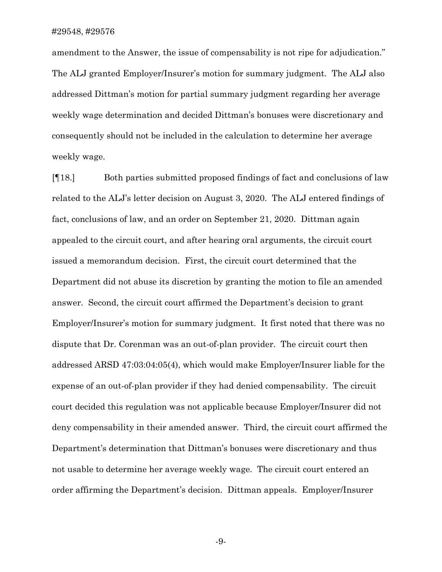amendment to the Answer, the issue of compensability is not ripe for adjudication." The ALJ granted Employer/Insurer's motion for summary judgment. The ALJ also addressed Dittman's motion for partial summary judgment regarding her average weekly wage determination and decided Dittman's bonuses were discretionary and consequently should not be included in the calculation to determine her average weekly wage.

[¶18.] Both parties submitted proposed findings of fact and conclusions of law related to the ALJ's letter decision on August 3, 2020. The ALJ entered findings of fact, conclusions of law, and an order on September 21, 2020. Dittman again appealed to the circuit court, and after hearing oral arguments, the circuit court issued a memorandum decision. First, the circuit court determined that the Department did not abuse its discretion by granting the motion to file an amended answer. Second, the circuit court affirmed the Department's decision to grant Employer/Insurer's motion for summary judgment. It first noted that there was no dispute that Dr. Corenman was an out-of-plan provider. The circuit court then addressed ARSD 47:03:04:05(4), which would make Employer/Insurer liable for the expense of an out-of-plan provider if they had denied compensability. The circuit court decided this regulation was not applicable because Employer/Insurer did not deny compensability in their amended answer. Third, the circuit court affirmed the Department's determination that Dittman's bonuses were discretionary and thus not usable to determine her average weekly wage. The circuit court entered an order affirming the Department's decision. Dittman appeals. Employer/Insurer

-9-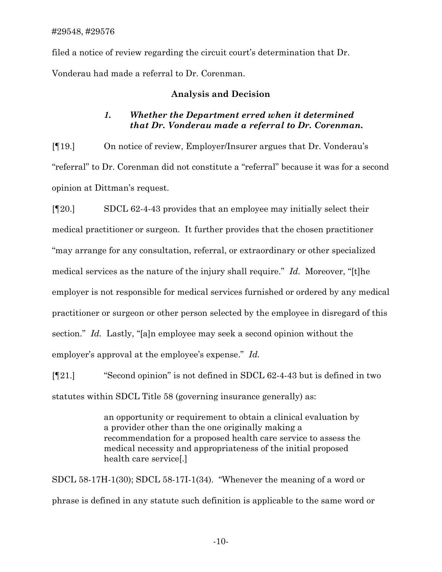filed a notice of review regarding the circuit court's determination that Dr. Vonderau had made a referral to Dr. Corenman.

## **Analysis and Decision**

# *1. Whether the Department erred when it determined that Dr. Vonderau made a referral to Dr. Corenman.*

[¶19.] On notice of review, Employer/Insurer argues that Dr. Vonderau's "referral" to Dr. Corenman did not constitute a "referral" because it was for a second opinion at Dittman's request.

[¶20.] SDCL 62-4-43 provides that an employee may initially select their medical practitioner or surgeon. It further provides that the chosen practitioner "may arrange for any consultation, referral, or extraordinary or other specialized medical services as the nature of the injury shall require." *Id.* Moreover, "[t]he employer is not responsible for medical services furnished or ordered by any medical practitioner or surgeon or other person selected by the employee in disregard of this section." *Id.* Lastly, "[a]n employee may seek a second opinion without the employer's approval at the employee's expense." *Id.*

[¶21.] "Second opinion" is not defined in SDCL 62-4-43 but is defined in two statutes within SDCL Title 58 (governing insurance generally) as:

> an opportunity or requirement to obtain a clinical evaluation by a provider other than the one originally making a recommendation for a proposed health care service to assess the medical necessity and appropriateness of the initial proposed health care service[.]

SDCL 58-17H-1(30); SDCL 58-17I-1(34). "Whenever the meaning of a word or phrase is defined in any statute such definition is applicable to the same word or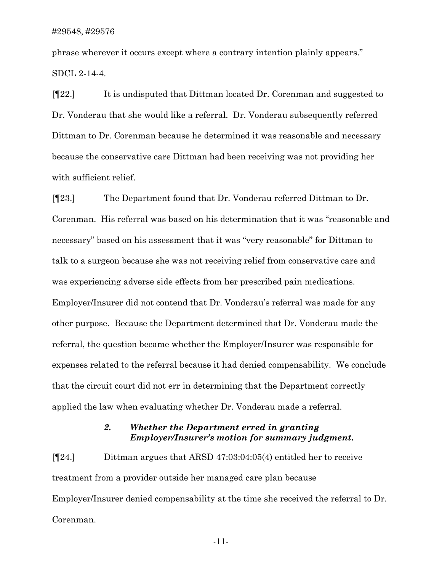phrase wherever it occurs except where a contrary intention plainly appears." SDCL 2-14-4.

[¶22.] It is undisputed that Dittman located Dr. Corenman and suggested to Dr. Vonderau that she would like a referral. Dr. Vonderau subsequently referred Dittman to Dr. Corenman because he determined it was reasonable and necessary because the conservative care Dittman had been receiving was not providing her with sufficient relief.

[¶23.] The Department found that Dr. Vonderau referred Dittman to Dr. Corenman. His referral was based on his determination that it was "reasonable and necessary" based on his assessment that it was "very reasonable" for Dittman to talk to a surgeon because she was not receiving relief from conservative care and was experiencing adverse side effects from her prescribed pain medications. Employer/Insurer did not contend that Dr. Vonderau's referral was made for any other purpose. Because the Department determined that Dr. Vonderau made the referral, the question became whether the Employer/Insurer was responsible for expenses related to the referral because it had denied compensability. We conclude that the circuit court did not err in determining that the Department correctly applied the law when evaluating whether Dr. Vonderau made a referral.

## *2. Whether the Department erred in granting Employer/Insurer's motion for summary judgment.*

[¶24.] Dittman argues that ARSD 47:03:04:05(4) entitled her to receive treatment from a provider outside her managed care plan because Employer/Insurer denied compensability at the time she received the referral to Dr. Corenman.

-11-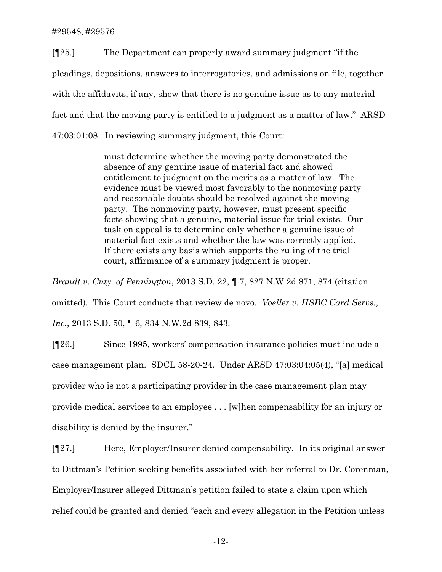[¶25.] The Department can properly award summary judgment "if the pleadings, depositions, answers to interrogatories, and admissions on file, together with the affidavits, if any, show that there is no genuine issue as to any material fact and that the moving party is entitled to a judgment as a matter of law." ARSD 47:03:01:08. In reviewing summary judgment, this Court:

> must determine whether the moving party demonstrated the absence of any genuine issue of material fact and showed entitlement to judgment on the merits as a matter of law. The evidence must be viewed most favorably to the nonmoving party and reasonable doubts should be resolved against the moving party. The nonmoving party, however, must present specific facts showing that a genuine, material issue for trial exists. Our task on appeal is to determine only whether a genuine issue of material fact exists and whether the law was correctly applied. If there exists any basis which supports the ruling of the trial court, affirmance of a summary judgment is proper.

*Brandt v. Cnty. of Pennington*, 2013 S.D. 22, ¶ 7, 827 N.W.2d 871, 874 (citation omitted). This Court conducts that review de novo. *Voeller v. HSBC Card Servs., Inc.*, 2013 S.D. 50, ¶ 6, 834 N.W.2d 839, 843.

[¶26.] Since 1995, workers' compensation insurance policies must include a case management plan. SDCL 58-20-24. Under ARSD 47:03:04:05(4), "[a] medical provider who is not a participating provider in the case management plan may provide medical services to an employee . . . [w]hen compensability for an injury or disability is denied by the insurer."

[¶27.] Here, Employer/Insurer denied compensability. In its original answer to Dittman's Petition seeking benefits associated with her referral to Dr. Corenman, Employer/Insurer alleged Dittman's petition failed to state a claim upon which relief could be granted and denied "each and every allegation in the Petition unless

-12-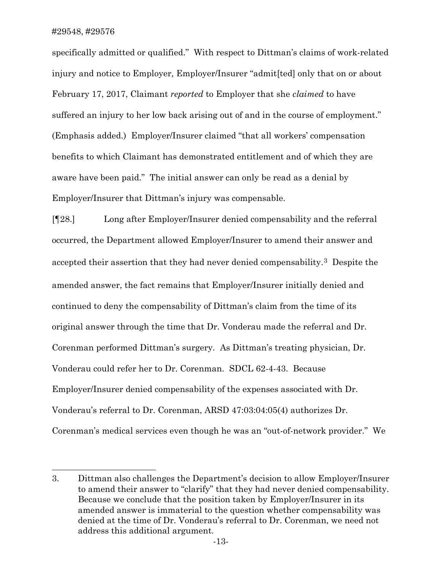specifically admitted or qualified." With respect to Dittman's claims of work-related injury and notice to Employer, Employer/Insurer "admit[ted] only that on or about February 17, 2017, Claimant *reported* to Employer that she *claimed* to have suffered an injury to her low back arising out of and in the course of employment." (Emphasis added.) Employer/Insurer claimed "that all workers' compensation benefits to which Claimant has demonstrated entitlement and of which they are aware have been paid." The initial answer can only be read as a denial by Employer/Insurer that Dittman's injury was compensable.

[¶28.] Long after Employer/Insurer denied compensability and the referral occurred, the Department allowed Employer/Insurer to amend their answer and accepted their assertion that they had never denied compensability.[3](#page-13-0) Despite the amended answer, the fact remains that Employer/Insurer initially denied and continued to deny the compensability of Dittman's claim from the time of its original answer through the time that Dr. Vonderau made the referral and Dr. Corenman performed Dittman's surgery. As Dittman's treating physician, Dr. Vonderau could refer her to Dr. Corenman. SDCL 62-4-43. Because Employer/Insurer denied compensability of the expenses associated with Dr. Vonderau's referral to Dr. Corenman, ARSD 47:03:04:05(4) authorizes Dr. Corenman's medical services even though he was an "out-of-network provider." We

<span id="page-13-0"></span><sup>3.</sup> Dittman also challenges the Department's decision to allow Employer/Insurer to amend their answer to "clarify" that they had never denied compensability. Because we conclude that the position taken by Employer/Insurer in its amended answer is immaterial to the question whether compensability was denied at the time of Dr. Vonderau's referral to Dr. Corenman, we need not address this additional argument.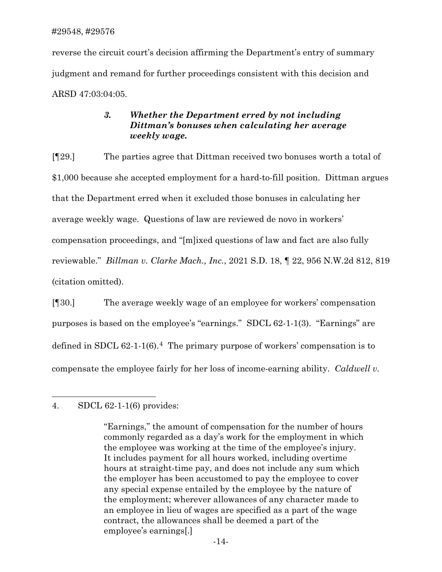reverse the circuit court's decision affirming the Department's entry of summary judgment and remand for further proceedings consistent with this decision and ARSD 47:03:04:05.

# *3. Whether the Department erred by not including Dittman's bonuses when calculating her average weekly wage.*

[¶29.] The parties agree that Dittman received two bonuses worth a total of \$1,000 because she accepted employment for a hard-to-fill position. Dittman argues that the Department erred when it excluded those bonuses in calculating her average weekly wage. Questions of law are reviewed de novo in workers' compensation proceedings, and "[m]ixed questions of law and fact are also fully reviewable." *Billman v. Clarke Mach., Inc.*, 2021 S.D. 18, ¶ 22, 956 N.W.2d 812, 819 (citation omitted).

[¶30.] The average weekly wage of an employee for workers' compensation purposes is based on the employee's "earnings." SDCL 62-1-1(3). "Earnings" are defined in SDCL  $62-1-1(6)$ .<sup>4</sup> The primary purpose of workers' compensation is to compensate the employee fairly for her loss of income-earning ability. *Caldwell v.* 

<span id="page-14-0"></span><sup>4.</sup> SDCL 62-1-1(6) provides:

<sup>&</sup>quot;Earnings," the amount of compensation for the number of hours commonly regarded as a day's work for the employment in which the employee was working at the time of the employee's injury. It includes payment for all hours worked, including overtime hours at straight-time pay, and does not include any sum which the employer has been accustomed to pay the employee to cover any special expense entailed by the employee by the nature of the employment; wherever allowances of any character made to an employee in lieu of wages are specified as a part of the wage contract, the allowances shall be deemed a part of the employee's earnings[.]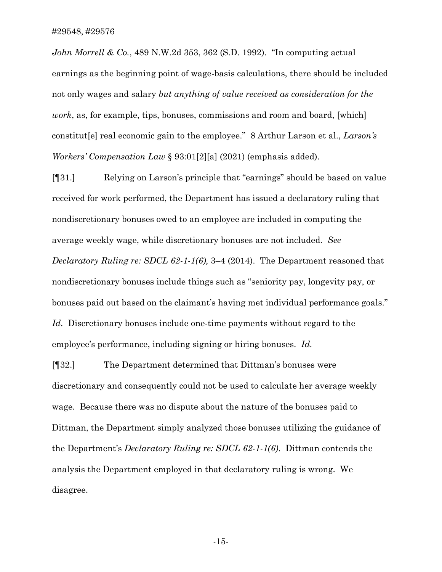*John Morrell & Co.*, 489 N.W.2d 353, 362 (S.D. 1992). "In computing actual earnings as the beginning point of wage-basis calculations, there should be included not only wages and salary *but anything of value received as consideration for the work*, as, for example, tips, bonuses, commissions and room and board, [which] constitut[e] real economic gain to the employee." 8 Arthur Larson et al., *Larson's Workers' Compensation Law* § 93:01[2][a] (2021) (emphasis added).

[¶31.] Relying on Larson's principle that "earnings" should be based on value received for work performed, the Department has issued a declaratory ruling that nondiscretionary bonuses owed to an employee are included in computing the average weekly wage, while discretionary bonuses are not included. *See Declaratory Ruling re: SDCL 62-1-1(6),* 3–4 (2014). The Department reasoned that nondiscretionary bonuses include things such as "seniority pay, longevity pay, or bonuses paid out based on the claimant's having met individual performance goals." *Id.* Discretionary bonuses include one-time payments without regard to the employee's performance, including signing or hiring bonuses. *Id.*

[¶32.] The Department determined that Dittman's bonuses were discretionary and consequently could not be used to calculate her average weekly wage. Because there was no dispute about the nature of the bonuses paid to Dittman, the Department simply analyzed those bonuses utilizing the guidance of the Department's *Declaratory Ruling re: SDCL 62-1-1(6)*. Dittman contends the analysis the Department employed in that declaratory ruling is wrong. We disagree.

-15-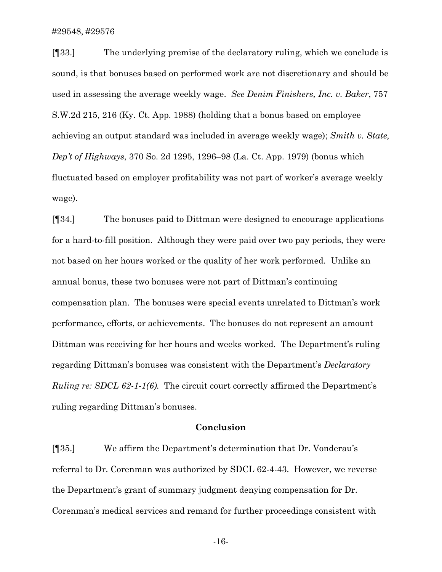[¶33.] The underlying premise of the declaratory ruling, which we conclude is sound, is that bonuses based on performed work are not discretionary and should be used in assessing the average weekly wage. *See Denim Finishers, Inc. v. Baker*, 757 S.W.2d 215, 216 (Ky. Ct. App. 1988) (holding that a bonus based on employee achieving an output standard was included in average weekly wage); *Smith v. State, Dep't of Highways*, 370 So. 2d 1295, 1296–98 (La. Ct. App. 1979) (bonus which fluctuated based on employer profitability was not part of worker's average weekly wage).

[¶34.] The bonuses paid to Dittman were designed to encourage applications for a hard-to-fill position. Although they were paid over two pay periods, they were not based on her hours worked or the quality of her work performed. Unlike an annual bonus, these two bonuses were not part of Dittman's continuing compensation plan. The bonuses were special events unrelated to Dittman's work performance, efforts, or achievements. The bonuses do not represent an amount Dittman was receiving for her hours and weeks worked. The Department's ruling regarding Dittman's bonuses was consistent with the Department's *Declaratory Ruling re: SDCL 62-1-1(6).* The circuit court correctly affirmed the Department's ruling regarding Dittman's bonuses.

#### **Conclusion**

[¶35.] We affirm the Department's determination that Dr. Vonderau's referral to Dr. Corenman was authorized by SDCL 62-4-43. However, we reverse the Department's grant of summary judgment denying compensation for Dr. Corenman's medical services and remand for further proceedings consistent with

-16-